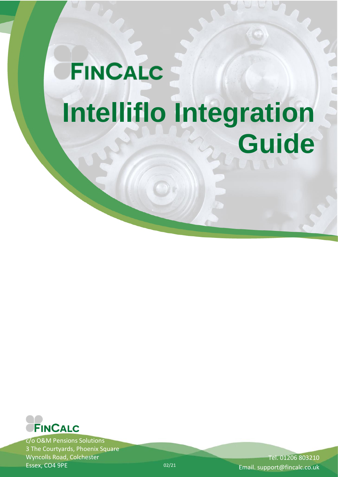# **FINCALC Intelliflo Integration Guide**



c/o O&M Pensions Solutions 3 The Courtyards, Phoenix Square Wyncolls Road, Colchester Essex, CO4 9PE

Tel. 01206 803210 Email. support@fincalc.co.uk

02/21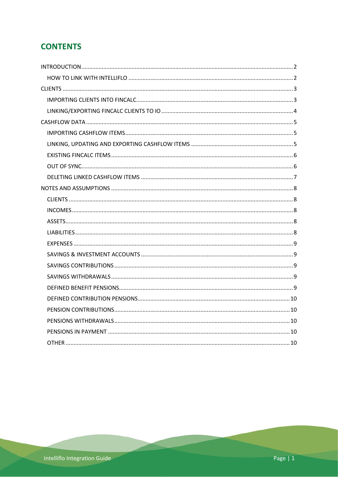# **CONTENTS**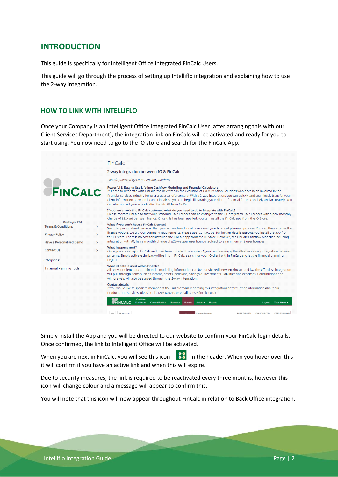# <span id="page-2-0"></span>**INTRODUCTION**

This guide is specifically for Intelligent Office Integrated FinCalc Users.

This guide will go through the process of setting up Intelliflo integration and explaining how to use the 2-way integration.

## <span id="page-2-1"></span>**HOW TO LINK WITH INTELLIFLO**

Once your Company is an Intelligent Office Integrated FinCalc User (after arranging this with our Client Services Department), the integration link on FinCalc will be activated and ready for you to start using. You now need to go to the iO store and search for the FinCalc App.



Simply install the App and you will be directed to our website to confirm your FinCalc login details. Once confirmed, the link to Intelligent Office will be activated.

When you are next in FinCalc, you will see this icon  $\begin{bmatrix} 1 & 1 \\ 1 & 1 \end{bmatrix}$  in the header. When you hover over this it will confirm if you have an active link and when this will expire.

Due to security measures, the link is required to be reactivated every three months, however this icon will change colour and a message will appear to confirm this.

You will note that this icon will now appear throughout FinCalc in relation to Back Office integration.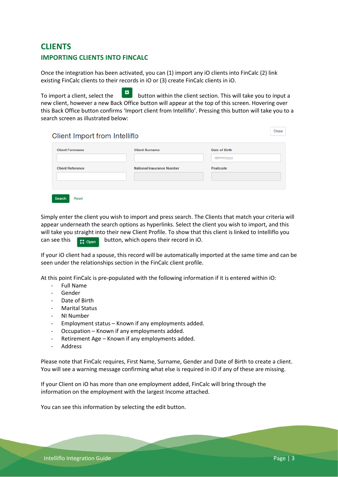# <span id="page-3-1"></span><span id="page-3-0"></span>**CLIENTS IMPORTING CLIENTS INTO FINCALC**

Once the integration has been activated, you can (1) import any iO clients into FinCalc (2) link existing FinCalc clients to their records in iO or (3) create FinCalc clients in iO.

To import a client, select the **button within the client section.** This will take you to input a new client, however a new Back Office button will appear at the top of this screen. Hovering over this Back Office button confirms 'Import client from Intelliflo'. Pressing this button will take you to a search screen as illustrated below:

# Client Import from Intelliflo

| <b>Client Forename</b>  | <b>Client Surname</b>            | Date of Birth |  |
|-------------------------|----------------------------------|---------------|--|
|                         |                                  | dd/mm/yyyy    |  |
| <b>Client Reference</b> | <b>National Insurance Number</b> | Postcode      |  |
|                         |                                  |               |  |

Simply enter the client you wish to import and press search. The Clients that match your criteria will appear underneath the search options as hyperlinks. Select the client you wish to import, and this will take you straight into their new Client Profile. To show that this client is linked to Intelliflo you can see this  $\begin{bmatrix} 1 & 0 \\ 0 & 1 \end{bmatrix}$  button, which opens their record in iO.

If your iO client had a spouse, this record will be automatically imported at the same time and can be seen under the relationships section in the FinCalc client profile.

At this point FinCalc is pre-populated with the following information if it is entered within iO:

- Full Name
- Gender
- Date of Birth
- Marital Status
- NI Number
- Employment status Known if any employments added.
- Occupation Known if any employments added.
- Retirement Age Known if any employments added.
- **Address**

Please note that FinCalc requires, First Name, Surname, Gender and Date of Birth to create a client. You will see a warning message confirming what else is required in iO if any of these are missing.

If your Client on iO has more than one employment added, FinCalc will bring through the information on the employment with the largest Income attached.

You can see this information by selecting the edit button.

Close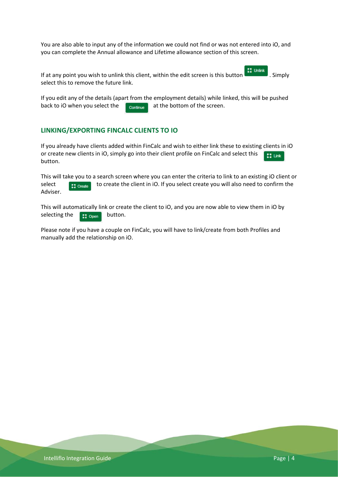You are also able to input any of the information we could not find or was not entered into iO, and you can complete the Annual allowance and Lifetime allowance section of this screen.

If at any point you wish to unlink this client, within the edit screen is this button . Simply select this to remove the future link.

If you edit any of the details (apart from the employment details) while linked, this will be pushed back to iO when you select the at the bottom of the screen.

### <span id="page-4-0"></span>**LINKING/EXPORTING FINCALC CLIENTS TO IO**

If you already have clients added within FinCalc and wish to either link these to existing clients in iO or create new clients in iO, simply go into their client profile on FinCalc and select this  $11$  Link button.

This will take you to a search screen where you can enter the criteria to link to an existing iO client or select  $\begin{array}{|l|} \hline \end{array}$  to create the client in iO. If you select create you will also need to confirm the Adviser.

This will automatically link or create the client to iO, and you are now able to view them in iO by selecting the button.

Please note if you have a couple on FinCalc, you will have to link/create from both Profiles and manually add the relationship on iO.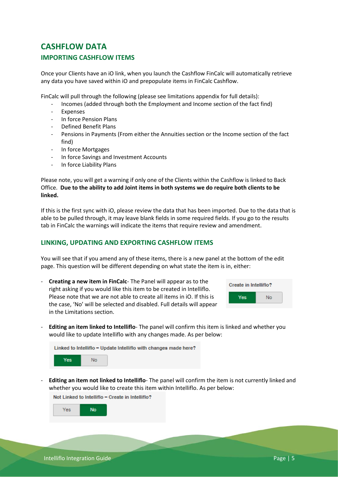# <span id="page-5-1"></span><span id="page-5-0"></span>**CASHFLOW DATA IMPORTING CASHFLOW ITEMS**

Once your Clients have an iO link, when you launch the Cashflow FinCalc will automatically retrieve any data you have saved within iO and prepopulate items in FinCalc Cashflow.

FinCalc will pull through the following (please see limitations appendix for full details):

- Incomes (added through both the Employment and Income section of the fact find)
- **Expenses**
- In force Pension Plans
- Defined Benefit Plans
- Pensions in Payments (From either the Annuities section or the Income section of the fact find)
- In force Mortgages
- In force Savings and Investment Accounts
- In force Liability Plans

Please note, you will get a warning if only one of the Clients within the Cashflow is linked to Back Office. **Due to the ability to add Joint items in both systems we do require both clients to be linked.** 

If this is the first sync with iO, please review the data that has been imported. Due to the data that is able to be pulled through, it may leave blank fields in some required fields. If you go to the results tab in FinCalc the warnings will indicate the items that require review and amendment.

### <span id="page-5-2"></span>**LINKING, UPDATING AND EXPORTING CASHFLOW ITEMS**

You will see that if you amend any of these items, there is a new panel at the bottom of the edit page. This question will be different depending on what state the item is in, either:

- **Creating a new item in FinCalc**- The Panel will appear as to the right asking if you would like this item to be created in Intelliflo. Please note that we are not able to create all items in iO. If this is the case, 'No' will be selected and disabled. Full details will appear in the Limitations section.



- **Editing an item linked to Intelliflo**- The panel will confirm this item is linked and whether you would like to update Intelliflo with any changes made. As per below:

Linked to Intelliflo - Update Intelliflo with changes made here?



- **Editing an item not linked to Intelliflo**- The panel will confirm the item is not currently linked and whether you would like to create this item within Intelliflo. As per below:

Not Linked to Intelliflo - Create in Intelliflo?

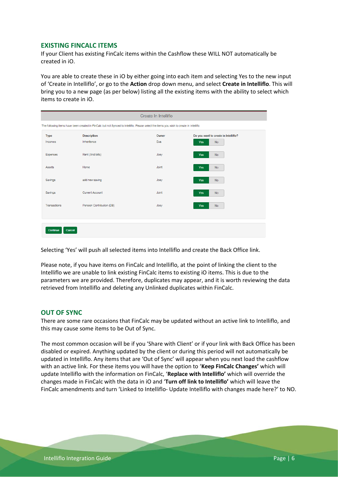#### <span id="page-6-0"></span>**EXISTING FINCALC ITEMS**

If your Client has existing FinCalc items within the Cashflow these WILL NOT automatically be created in iO.

You are able to create these in iO by either going into each item and selecting Yes to the new input of 'Create in Intelliflo', or go to the **Action** drop down menu, and select **Create in Intelliflo**. This will bring you to a new page (as per below) listing all the existing items with the ability to select which items to create in iO.

| Create In Intelliflo                                                                                                                    |                           |       |                                      |
|-----------------------------------------------------------------------------------------------------------------------------------------|---------------------------|-------|--------------------------------------|
| The following items have been created in FinCalc but not Synced to Intelliflo. Please select the items you wish to create in Intelliflo |                           |       |                                      |
| <b>Type</b>                                                                                                                             | <b>Description</b>        | Owner | Do you want to create in Intelliflo? |
| Incomes                                                                                                                                 | Inheritence               | Eva   | <b>No</b><br><b>Yes</b>              |
| Expenses                                                                                                                                | Rent (And bills)          | Joey  | <b>Yes</b><br><b>No</b>              |
| <b>Assets</b>                                                                                                                           | Home                      | Joint | <b>No</b><br><b>Yes</b>              |
| Savings                                                                                                                                 | add new saving            | Joey  | <b>Yes</b><br><b>No</b>              |
| Savings                                                                                                                                 | <b>Current Account</b>    | Joint | <b>Yes</b><br><b>No</b>              |
| Transactions                                                                                                                            | Pension Contribution (DB) | Joey  | <b>Yes</b><br><b>No</b>              |
|                                                                                                                                         |                           |       |                                      |
| Continue<br>Cancel                                                                                                                      |                           |       |                                      |

Selecting 'Yes' will push all selected items into Intelliflo and create the Back Office link.

Please note, if you have items on FinCalc and Intelliflo, at the point of linking the client to the Intelliflo we are unable to link existing FinCalc items to existing iO items. This is due to the parameters we are provided. Therefore, duplicates may appear, and it is worth reviewing the data retrieved from Intelliflo and deleting any Unlinked duplicates within FinCalc.

#### <span id="page-6-1"></span>**OUT OF SYNC**

There are some rare occasions that FinCalc may be updated without an active link to Intelliflo, and this may cause some items to be Out of Sync.

The most common occasion will be if you 'Share with Client' or if your link with Back Office has been disabled or expired. Anything updated by the client or during this period will not automatically be updated in Intelliflo. Any items that are 'Out of Sync' will appear when you next load the cashflow with an active link. For these items you will have the option to '**Keep FinCalc Changes'** which will update Intelliflo with the information on FinCalc, '**Replace with Intelliflo'** which will override the changes made in FinCalc with the data in iO and '**Turn off link to Intelliflo'** which will leave the FinCalc amendments and turn 'Linked to Intelliflo- Update Intelliflo with changes made here?' to NO.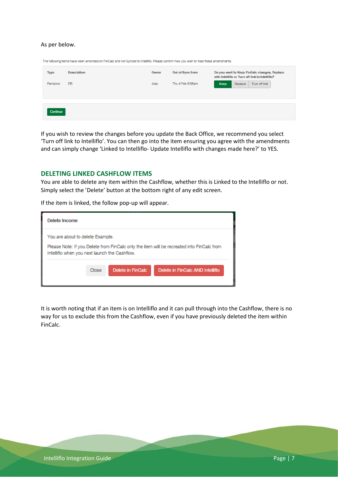#### As per below.

| <b>Type</b> | <b>Description</b> | Owner | Out of Sync from | Do you want to Keep FinCalc changes, Replace<br>with Intelliflo or Turn off link to Intelliflo? |
|-------------|--------------------|-------|------------------|-------------------------------------------------------------------------------------------------|
| Pensions    | DB.                | Joey  | Thu 4 Feb 8:58am | Replace<br>Turn off link<br>Keep                                                                |
|             |                    |       |                  |                                                                                                 |
| Continue    |                    |       |                  |                                                                                                 |

The following items have been amended on FinCalc and not Synced to Intelliflo. Please confirm how you wish to treat these amendments.

If you wish to review the changes before you update the Back Office, we recommend you select 'Turn off link to Intelliflo'. You can then go into the item ensuring you agree with the amendments and can simply change 'Linked to Intelliflo- Update Intelliflo with changes made here?' to YES.

#### <span id="page-7-0"></span>**DELETING LINKED CASHFLOW ITEMS**

You are able to delete any item within the Cashflow, whether this is Linked to the Intelliflo or not. Simply select the 'Delete' button at the bottom right of any edit screen.

If the item is linked, the follow pop-up will appear.

| Delete Income                                                                     |  |  |                                                                                           |  |  |  |
|-----------------------------------------------------------------------------------|--|--|-------------------------------------------------------------------------------------------|--|--|--|
| You are about to delete Example.<br>Intelliflo when you next launch the Cashflow. |  |  | Please Note: If you Delete from FinCalc only the item will be recreated into FinCalc from |  |  |  |
| Delete in FinCalc<br>Delete in FinCalc AND Intelliflo<br>Close                    |  |  |                                                                                           |  |  |  |

It is worth noting that if an item is on Intelliflo and it can pull through into the Cashflow, there is no way for us to exclude this from the Cashflow, even if you have previously deleted the item within FinCalc.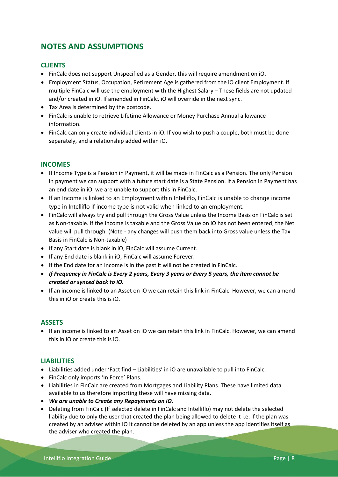# <span id="page-8-0"></span>**NOTES AND ASSUMPTIONS**

## <span id="page-8-1"></span>**CLIENTS**

- FinCalc does not support Unspecified as a Gender, this will require amendment on iO.
- Employment Status, Occupation, Retirement Age is gathered from the iO client Employment. If multiple FinCalc will use the employment with the Highest Salary – These fields are not updated and/or created in iO. If amended in FinCalc, iO will override in the next sync.
- Tax Area is determined by the postcode.
- FinCalc is unable to retrieve Lifetime Allowance or Money Purchase Annual allowance information.
- FinCalc can only create individual clients in iO. If you wish to push a couple, both must be done separately, and a relationship added within iO.

## <span id="page-8-2"></span>**INCOMES**

- If Income Type is a Pension in Payment, it will be made in FinCalc as a Pension. The only Pension in payment we can support with a future start date is a State Pension. If a Pension in Payment has an end date in iO, we are unable to support this in FinCalc.
- If an Income is linked to an Employment within Intelliflo, FinCalc is unable to change income type in Intelliflo if income type is not valid when linked to an employment.
- FinCalc will always try and pull through the Gross Value unless the Income Basis on FinCalc is set as Non-taxable. If the Income is taxable and the Gross Value on iO has not been entered, the Net value will pull through. (Note - any changes will push them back into Gross value unless the Tax Basis in FinCalc is Non-taxable)
- If any Start date is blank in iO, FinCalc will assume Current.
- If any End date is blank in iO, FinCalc will assume Forever.
- If the End date for an income is in the past it will not be created in FinCalc.
- *If Frequency in FinCalc is Every 2 years, Every 3 years or Every 5 years, the item cannot be created or synced back to iO.*
- If an income is linked to an Asset on iO we can retain this link in FinCalc. However, we can amend this in iO or create this is iO.

### <span id="page-8-3"></span>**ASSETS**

• If an income is linked to an Asset on iO we can retain this link in FinCalc. However, we can amend this in iO or create this is iO.

### <span id="page-8-4"></span>**LIABILITIES**

- Liabilities added under 'Fact find Liabilities' in iO are unavailable to pull into FinCalc.
- FinCalc only imports 'In Force' Plans.
- Liabilities in FinCalc are created from Mortgages and Liability Plans. These have limited data available to us therefore importing these will have missing data.
- *We are unable to Create any Repayments on iO.*
- Deleting from FinCalc (If selected delete in FinCalc and Intelliflo) may not delete the selected liability due to only the user that created the plan being allowed to delete it i.e. if the plan was created by an adviser within IO it cannot be deleted by an app unless the app identifies itself as the adviser who created the plan.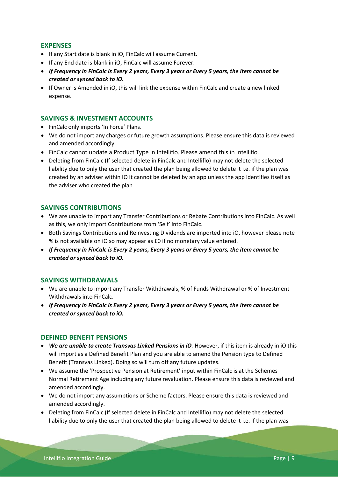### <span id="page-9-0"></span>**EXPENSES**

- If any Start date is blank in iO, FinCalc will assume Current.
- If any End date is blank in iO, FinCalc will assume Forever.
- *If Frequency in FinCalc is Every 2 years, Every 3 years or Every 5 years, the item cannot be created or synced back to iO.*
- If Owner is Amended in iO, this will link the expense within FinCalc and create a new linked expense.

#### <span id="page-9-1"></span>**SAVINGS & INVESTMENT ACCOUNTS**

- FinCalc only imports 'In Force' Plans.
- We do not import any charges or future growth assumptions. Please ensure this data is reviewed and amended accordingly.
- FinCalc cannot update a Product Type in Intelliflo. Please amend this in Intelliflo.
- Deleting from FinCalc (If selected delete in FinCalc and Intelliflo) may not delete the selected liability due to only the user that created the plan being allowed to delete it i.e. if the plan was created by an adviser within IO it cannot be deleted by an app unless the app identifies itself as the adviser who created the plan

### <span id="page-9-2"></span>**SAVINGS CONTRIBUTIONS**

- We are unable to import any Transfer Contributions or Rebate Contributions into FinCalc. As well as this, we only import Contributions from 'Self' into FinCalc.
- Both Savings Contributions and Reinvesting Dividends are imported into iO, however please note % is not available on iO so may appear as £0 if no monetary value entered.
- *If Frequency in FinCalc is Every 2 years, Every 3 years or Every 5 years, the item cannot be created or synced back to iO.*

### <span id="page-9-3"></span>**SAVINGS WITHDRAWALS**

- We are unable to import any Transfer Withdrawals, % of Funds Withdrawal or % of Investment Withdrawals into FinCalc.
- *If Frequency in FinCalc is Every 2 years, Every 3 years or Every 5 years, the item cannot be created or synced back to iO.*

#### <span id="page-9-4"></span>**DEFINED BENEFIT PENSIONS**

- *We are unable to create Transvas Linked Pensions in iO.* However, if this item is already in iO this will import as a Defined Benefit Plan and you are able to amend the Pension type to Defined Benefit (Transvas Linked). Doing so will turn off any future updates.
- We assume the 'Prospective Pension at Retirement' input within FinCalc is at the Schemes Normal Retirement Age including any future revaluation. Please ensure this data is reviewed and amended accordingly.
- We do not import any assumptions or Scheme factors. Please ensure this data is reviewed and amended accordingly.
- Deleting from FinCalc (If selected delete in FinCalc and Intelliflo) may not delete the selected liability due to only the user that created the plan being allowed to delete it i.e. if the plan was